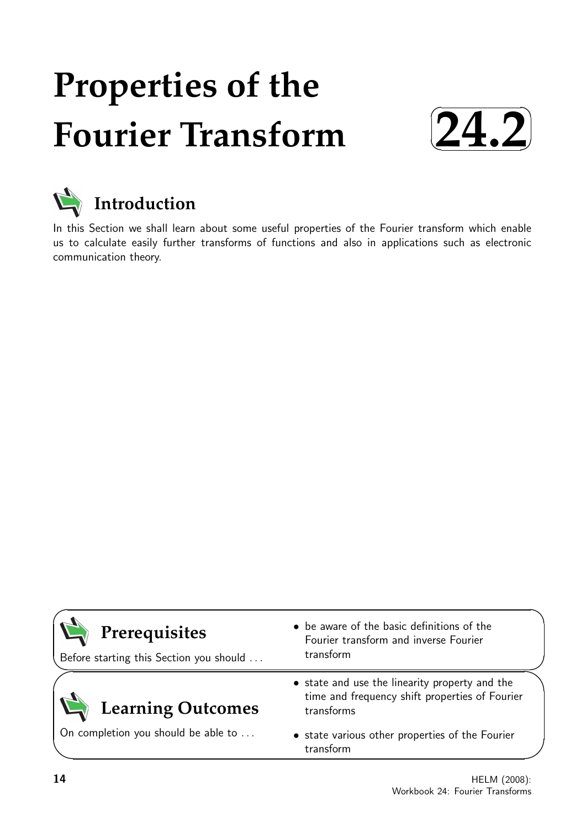# **Properties of the Fourier Transform**





In this Section we shall learn about some useful properties of the Fourier transform which enable us to calculate easily further transforms of functions and also in applications such as electronic communication theory.

| Prerequisites<br>Before starting this Section you should | • be aware of the basic definitions of the<br>Fourier transform and inverse Fourier<br>transform               |
|----------------------------------------------------------|----------------------------------------------------------------------------------------------------------------|
| <b>Learning Outcomes</b>                                 | • state and use the linearity property and the<br>time and frequency shift properties of Fourier<br>transforms |
| On completion you should be able to                      | • state various other properties of the Fourier<br>transform                                                   |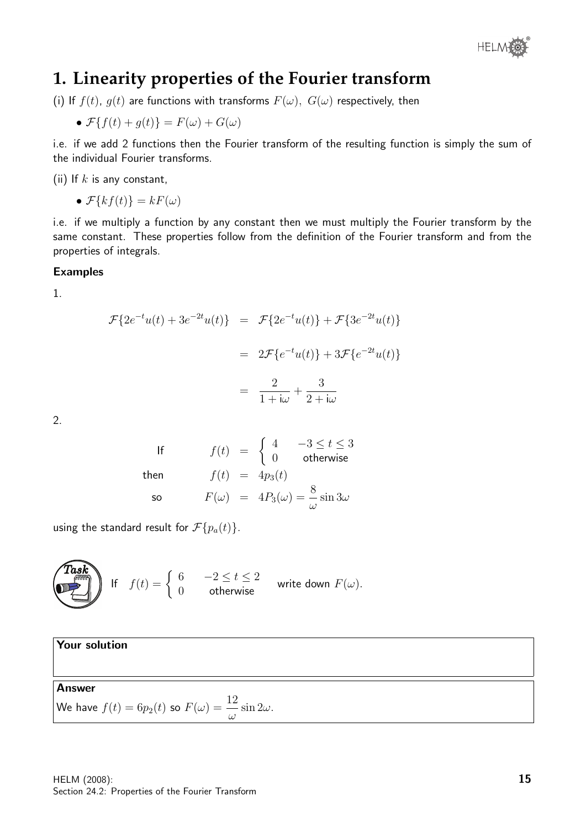

# **1. Linearity properties of the Fourier transform**

(i) If  $f(t)$ ,  $g(t)$  are functions with transforms  $F(\omega)$ ,  $G(\omega)$  respectively, then

• 
$$
\mathcal{F}{f(t) + g(t)} = F(\omega) + G(\omega)
$$

i.e. if we add 2 functions then the Fourier transform of the resulting function is simply the sum of the individual Fourier transforms.

(ii) If  $k$  is any constant,

•  $\mathcal{F}{kf(t)} = kF(\omega)$ 

i.e. if we multiply a function by any constant then we must multiply the Fourier transform by the same constant. These properties follow from the definition of the Fourier transform and from the properties of integrals.

#### Examples

1.

$$
\mathcal{F}{2e^{-t}u(t) + 3e^{-2t}u(t)} = \mathcal{F}{2e^{-t}u(t)} + \mathcal{F}{3e^{-2t}u(t)}
$$
  
= 
$$
2\mathcal{F}{e^{-t}u(t)} + 3\mathcal{F}{e^{-2t}u(t)}
$$
  
= 
$$
\frac{2}{1 + i\omega} + \frac{3}{2 + i\omega}
$$

2.

If 
$$
f(t) = \begin{cases} 4 & -3 \le t \le 3 \\ 0 & \text{otherwise} \end{cases}
$$
  
then  $f(t) = 4p_3(t)$   
so  $F(\omega) = 4P_3(\omega) = \frac{8}{\omega} \sin 3\omega$ 

using the standard result for  $\mathcal{F}{p_a(t)}$ .

**Task**  
\nIf 
$$
f(t) = \begin{cases} 6 & -2 \le t \le 2 \\ 0 & \text{otherwise} \end{cases}
$$
 write down  $F(\omega)$ .

Your solution Answer We have  $f(t)=6p_2(t)$  so  $F(\omega)=\dfrac{12}{\omega}$  $\sin 2\omega$ .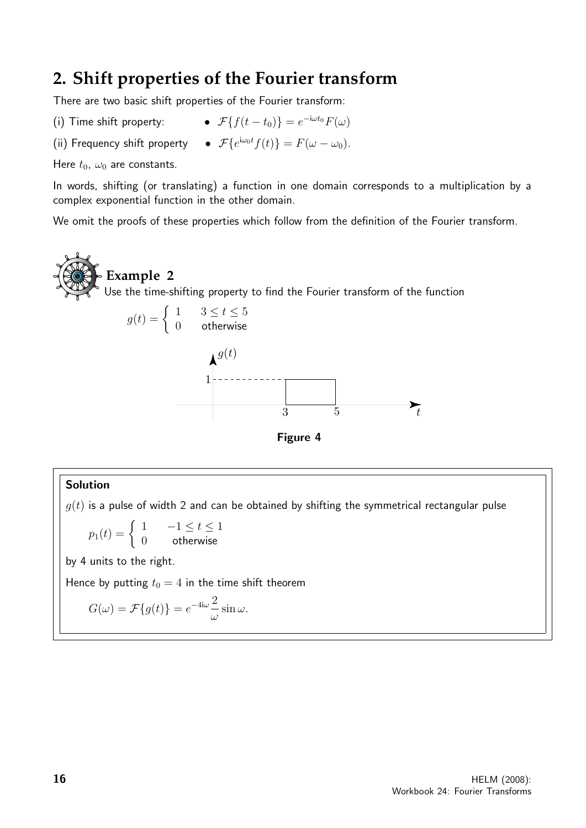# **2. Shift properties of the Fourier transform**

There are two basic shift properties of the Fourier transform:

- (i) Time shift property:
- $\bullet$   $\mathcal{F}{f(t-t_0)} = e^{-i\omega t_0}F(\omega)$
- (ii) Frequency shift property  $\bullet$   $\mathcal{F}\lbrace e^{i\omega_0 t}f(t)\rbrace = F(\omega \omega_0)$ .

Here  $t_0$ ,  $\omega_0$  are constants.

In words, shifting (or translating) a function in one domain corresponds to a multiplication by a complex exponential function in the other domain.

We omit the proofs of these properties which follow from the definition of the Fourier transform.

**Example 2** Use the time-shifting property to find the Fourier transform of the function





#### Solution

 $g(t)$  is a pulse of width 2 and can be obtained by shifting the symmetrical rectangular pulse

$$
p_1(t) = \begin{cases} 1 & -1 \le t \le 1 \\ 0 & \text{otherwise} \end{cases}
$$

by 4 units to the right.

Hence by putting  $t_0 = 4$  in the time shift theorem

$$
G(\omega) = \mathcal{F}{g(t)} = e^{-4i\omega} \frac{2}{\omega} \sin \omega.
$$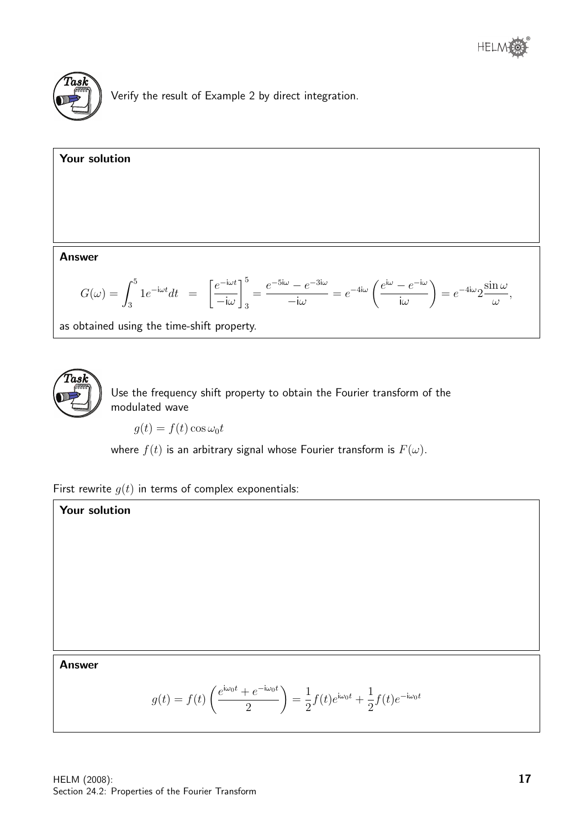

Verify the result of Example 2 by direct integration.

Your solution Answer  $G(\omega) = \int^5$ 3  $1e^{-i\omega t}dt = \left[\frac{e^{-i\omega t}}{\cdot}\right]$  $-iω$  $\big]^{5}$ 3 =  $e^{-5\mathrm{i}\omega}-e^{-3\mathrm{i}\omega}$  $-iω$  $= e^{-4i\omega} \left( \frac{e^{i\omega} - e^{-i\omega}}{i} \right)$  $i\omega$  $\setminus$  $= e^{-4i\omega}2$  $\sin \omega$ ω ,

as obtained using the time-shift property.



Use the frequency shift property to obtain the Fourier transform of the modulated wave

 $q(t) = f(t) \cos \omega_0 t$ 

where  $f(t)$  is an arbitrary signal whose Fourier transform is  $F(\omega)$ .

First rewrite  $g(t)$  in terms of complex exponentials:

# Your solution

#### Answer

$$
g(t) = f(t) \left( \frac{e^{i\omega_0 t} + e^{-i\omega_0 t}}{2} \right) = \frac{1}{2} f(t) e^{i\omega_0 t} + \frac{1}{2} f(t) e^{-i\omega_0 t}
$$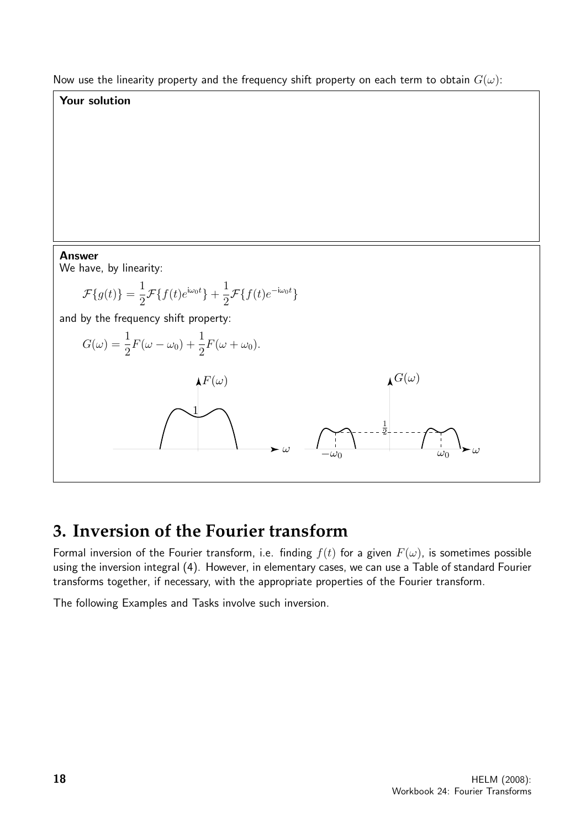Now use the linearity property and the frequency shift property on each term to obtain  $G(\omega)$ :

## Your solution

Answer

We have, by linearity:

$$
\mathcal{F}{g(t)} = \frac{1}{2}\mathcal{F}{f(t)e^{i\omega_0 t}} + \frac{1}{2}\mathcal{F}{f(t)e^{-i\omega_0 t}}
$$

and by the frequency shift property:



# **3. Inversion of the Fourier transform**

Formal inversion of the Fourier transform, i.e. finding  $f(t)$  for a given  $F(\omega)$ , is sometimes possible using the inversion integral (4). However, in elementary cases, we can use a Table of standard Fourier transforms together, if necessary, with the appropriate properties of the Fourier transform.

The following Examples and Tasks involve such inversion.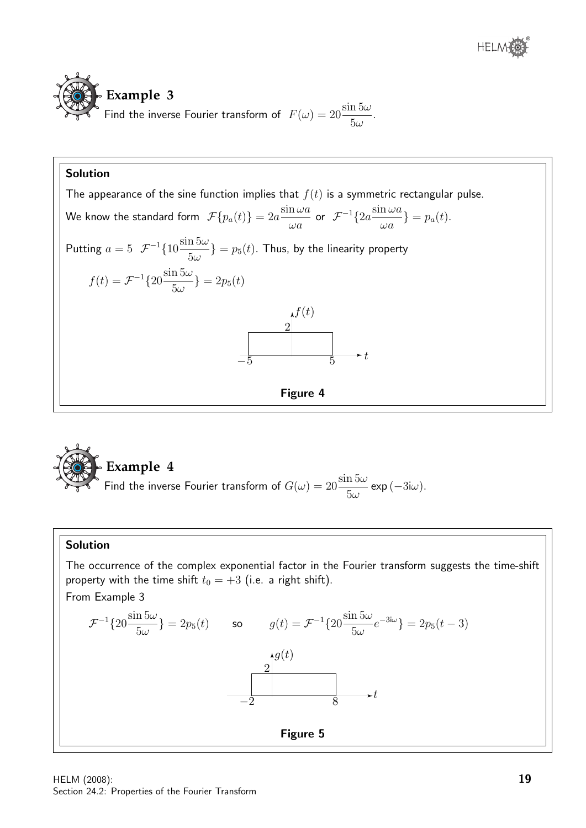

# Solution The appearance of the sine function implies that  $f(t)$  is a symmetric rectangular pulse. We know the standard form  $\ \mathcal{F}\{p_a(t)\}=2a\frac{\sin\omega a}{\cos\omega t}$  $\omega a$ or  ${\mathcal{F}}^{-1}\{2a\frac{\sin\omega a}{}$  $\frac{\partial}{\partial a}\} = p_a(t).$ Putting  $a = 5$   $\mathcal{F}^{-1}\left\{10\frac{\sin 5\omega}{5}\right\}$  $\{\frac{13\omega}{5\omega}\} = p_5(t)$ . Thus, by the linearity property  $f(t) = \mathcal{F}^{-1}\left\{20\frac{\sin 5\omega}{\tau}\right\}$  $\frac{\pi}{5\omega}$ } = 2p<sub>5</sub>(t)  $f(t)$ 2  $\frac{1}{-5}$   $\rightarrow$  t Figure 4



#### Solution

The occurrence of the complex exponential factor in the Fourier transform suggests the time-shift property with the time shift  $t_0 = +3$  (i.e. a right shift). From Example 3

$$
\mathcal{F}^{-1}\lbrace 20 \frac{\sin 5\omega}{5\omega} \rbrace = 2p_5(t) \qquad \text{so} \qquad g(t) = \mathcal{F}^{-1}\lbrace 20 \frac{\sin 5\omega}{5\omega} e^{-3i\omega} \rbrace = 2p_5(t-3)
$$
\n
$$
\xrightarrow{-2} \qquad \qquad 8 \qquad \longrightarrow t
$$
\n**Figure 5**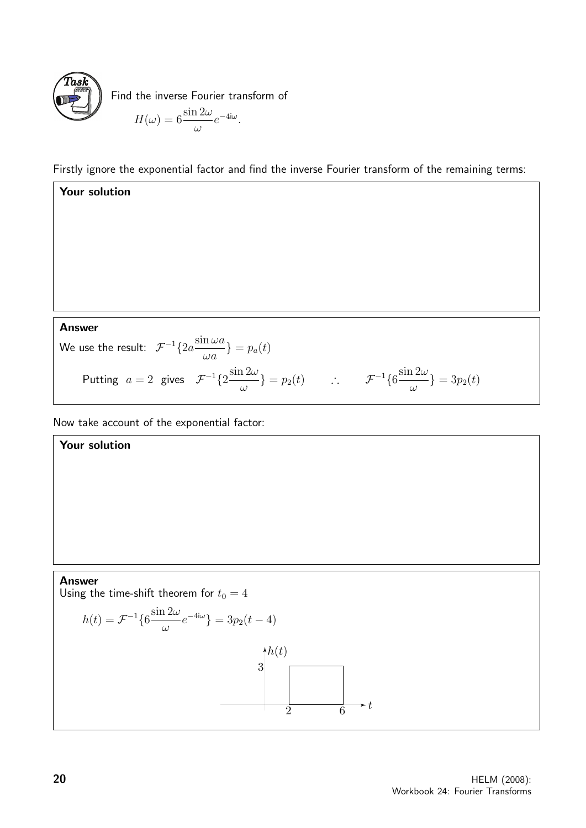

Find the inverse Fourier transform of  $H(\omega) = 6 \frac{\sin 2\omega}{\sqrt{\frac{2\omega}{c^2}}}$ ω  $e^{-4\mathsf{i}\omega}$ .

Firstly ignore the exponential factor and find the inverse Fourier transform of the remaining terms:

Your solution Answer We use the result:  $\mathcal{F}^{-1}\{2a\frac{\sin\omega a}{}$  $\frac{\partial}{\partial a}$  =  $p_a(t)$ Putting  $a=2$  gives  $\mathcal{F}^{-1}\{2\frac{\sin 2\omega}{2}\}$  $\{\frac{\partial^2 \omega}{\partial \omega}\} = p_2(t)$  ∴  $\mathcal{F}^{-1}\{6\frac{\sin 2\omega}{\omega}\}$  $\frac{12\omega}{\omega}$  = 3p<sub>2</sub>(t)

Now take account of the exponential factor:

Your solution

#### Answer

Using the time-shift theorem for  $t_0 = 4$ 

$$
h(t) = \mathcal{F}^{-1}\left\{6\frac{\sin 2\omega}{\omega}e^{-4i\omega}\right\} = 3p_2(t-4)
$$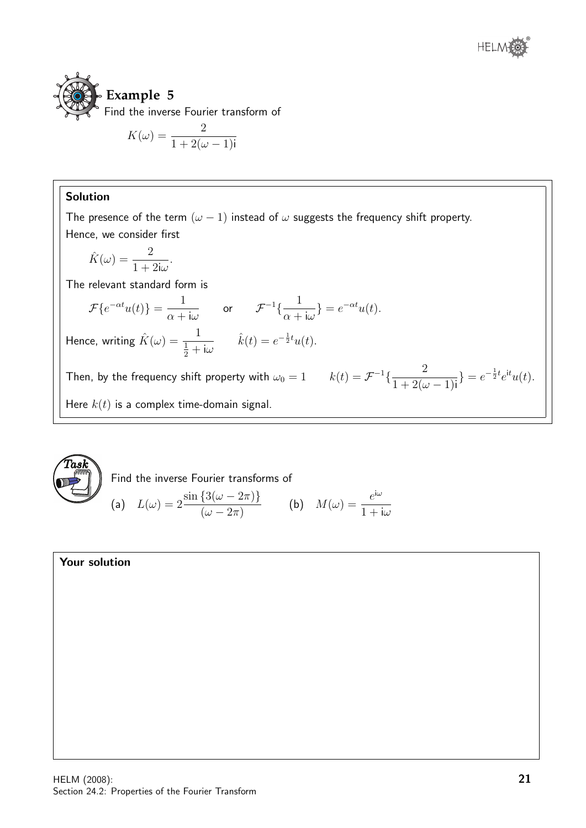



$$
K(\omega) = \frac{2}{1 + 2(\omega - 1)i}
$$

### Solution

The presence of the term  $(\omega - 1)$  instead of  $\omega$  suggests the frequency shift property. Hence, we consider first

$$
\hat{K}(\omega) = \frac{2}{1 + 2i\omega}.
$$

The relevant standard form is

$$
\mathcal{F}\{e^{-\alpha t}u(t)\} = \frac{1}{\alpha + i\omega} \quad \text{or} \quad \mathcal{F}^{-1}\{\frac{1}{\alpha + i\omega}\} = e^{-\alpha t}u(t).
$$
  
Hence, writing  $\hat{K}(\omega) = \frac{1}{\frac{1}{2} + i\omega} \qquad \hat{k}(t) = e^{-\frac{1}{2}t}u(t).$ 

Then, by the frequency shift property with  $\omega_0 = 1$   $k(t) = \mathcal{F}^{-1}\left\{\frac{2}{1 + \Omega(t)}\right\}$  $1 + 2(\omega - 1)$ i  $\} = e^{-\frac{1}{2}t}e^{it}u(t).$ Here  $k(t)$  is a complex time-domain signal.



Find the inverse Fourier transforms of

(a) 
$$
L(\omega) = 2 \frac{\sin \{3(\omega - 2\pi)\}}{(\omega - 2\pi)}
$$
 (b)  $M(\omega) = \frac{e^{i\omega}}{1 + i\omega}$ 

#### Your solution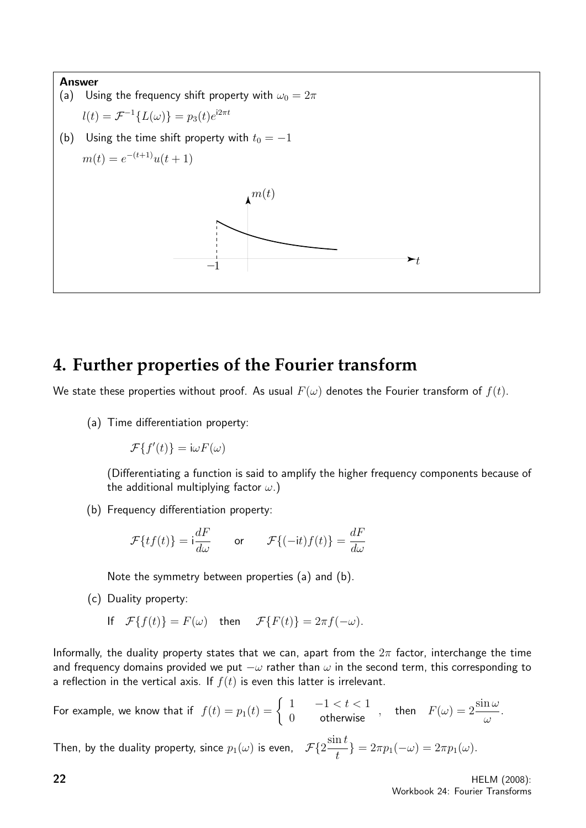

# **4. Further properties of the Fourier transform**

We state these properties without proof. As usual  $F(\omega)$  denotes the Fourier transform of  $f(t)$ .

(a) Time differentiation property:

 $\mathcal{F}{f'(t)} = i\omega F(\omega)$ 

(Differentiating a function is said to amplify the higher frequency components because of the additional multiplying factor  $\omega$ .)

(b) Frequency differentiation property:

$$
\mathcal{F}{tf(t)} = i\frac{dF}{d\omega} \qquad \text{or} \qquad \mathcal{F}{(-it)f(t)} = \frac{dF}{d\omega}
$$

Note the symmetry between properties (a) and (b).

(c) Duality property:

If 
$$
\mathcal{F}{f(t)} = F(\omega)
$$
 then  $\mathcal{F}{F(t)} = 2\pi f(-\omega)$ .

Informally, the duality property states that we can, apart from the  $2\pi$  factor, interchange the time and frequency domains provided we put  $-\omega$  rather than  $\omega$  in the second term, this corresponding to a reflection in the vertical axis. If  $f(t)$  is even this latter is irrelevant.

For example, we know that if 
$$
f(t) = p_1(t) = \begin{cases} 1 & -1 < t < 1 \\ 0 & \text{otherwise} \end{cases}
$$
, then  $F(\omega) = 2 \frac{\sin \omega}{\omega}$ .

Then, by the duality property, since  $p_1(\omega)$  is even,  $\mathcal{F}\{2\frac{\sin t}{\omega}\}$ 

 $\{\frac{\pi v}{t}\} = 2\pi p_1(-\omega) = 2\pi p_1(\omega).$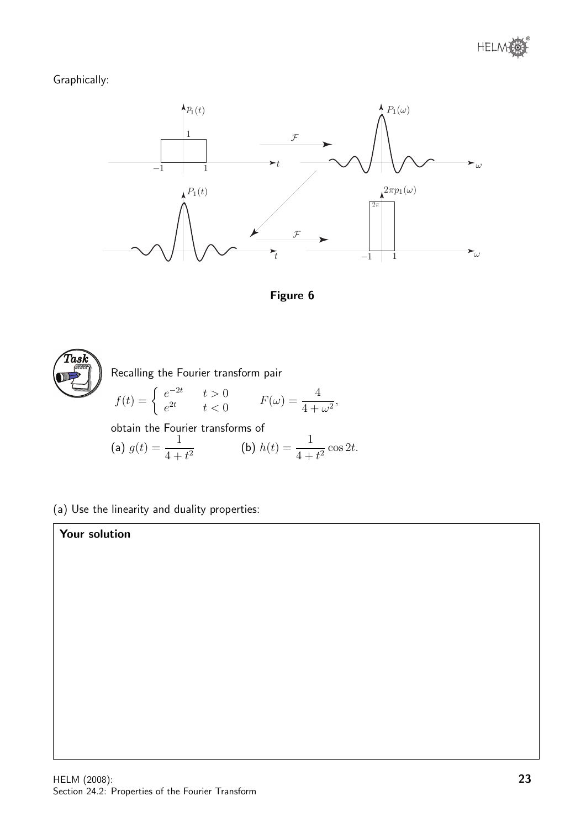## Graphically:







(a) Use the linearity and duality properties:

## Your solution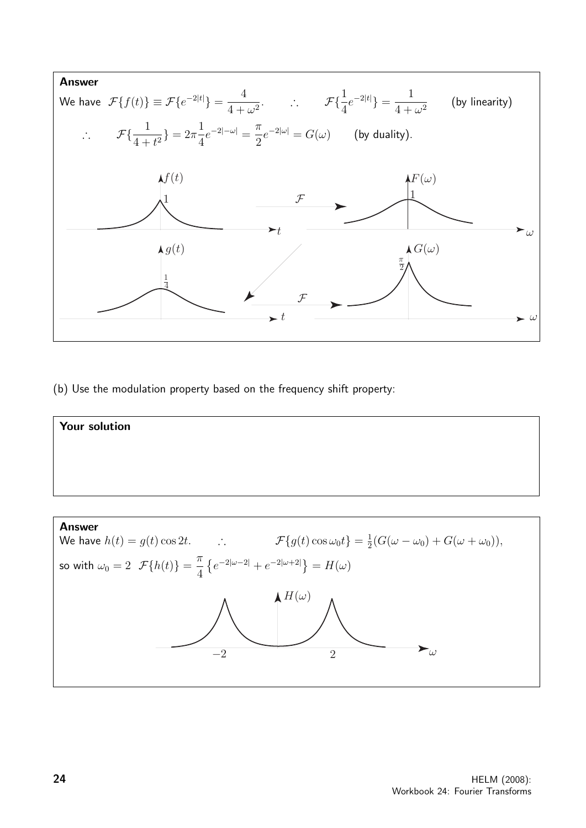

(b) Use the modulation property based on the frequency shift property:



 $-2$  2  $\omega$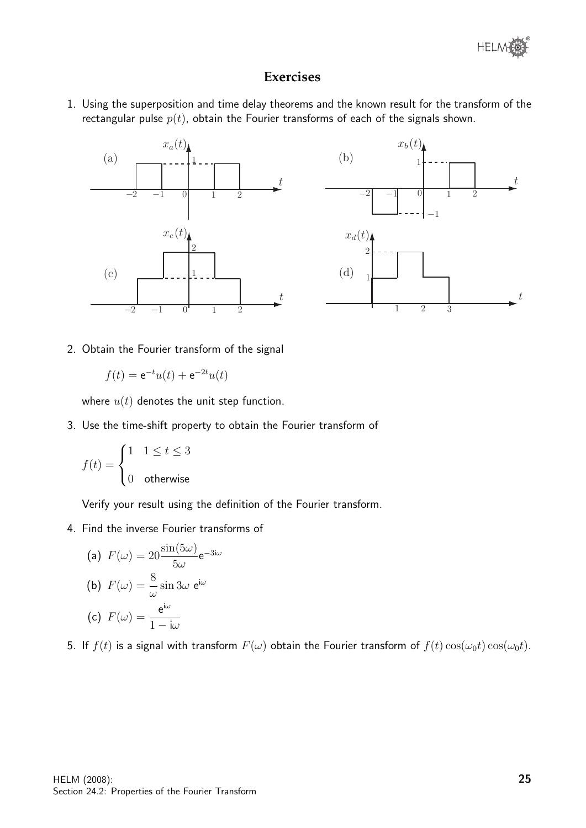

## **Exercises**

1. Using the superposition and time delay theorems and the known result for the transform of the rectangular pulse  $p(t)$ , obtain the Fourier transforms of each of the signals shown.



2. Obtain the Fourier transform of the signal

 $f(t) = e^{-t}u(t) + e^{-2t}u(t)$ 

where  $u(t)$  denotes the unit step function.

3. Use the time-shift property to obtain the Fourier transform of

$$
f(t) = \begin{cases} 1 & 1 \le t \le 3 \\ 0 & \text{otherwise} \end{cases}
$$

Verify your result using the definition of the Fourier transform.

4. Find the inverse Fourier transforms of

(a) 
$$
F(\omega) = 20 \frac{\sin(5\omega)}{5\omega} e^{-3i\omega}
$$
  
\n(b)  $F(\omega) = \frac{8}{\omega} \sin 3\omega e^{i\omega}$   
\n(c)  $F(\omega) = \frac{e^{i\omega}}{1 - i\omega}$ 

5. If  $f(t)$  is a signal with transform  $F(\omega)$  obtain the Fourier transform of  $f(t) \cos(\omega_0 t) \cos(\omega_0 t)$ .